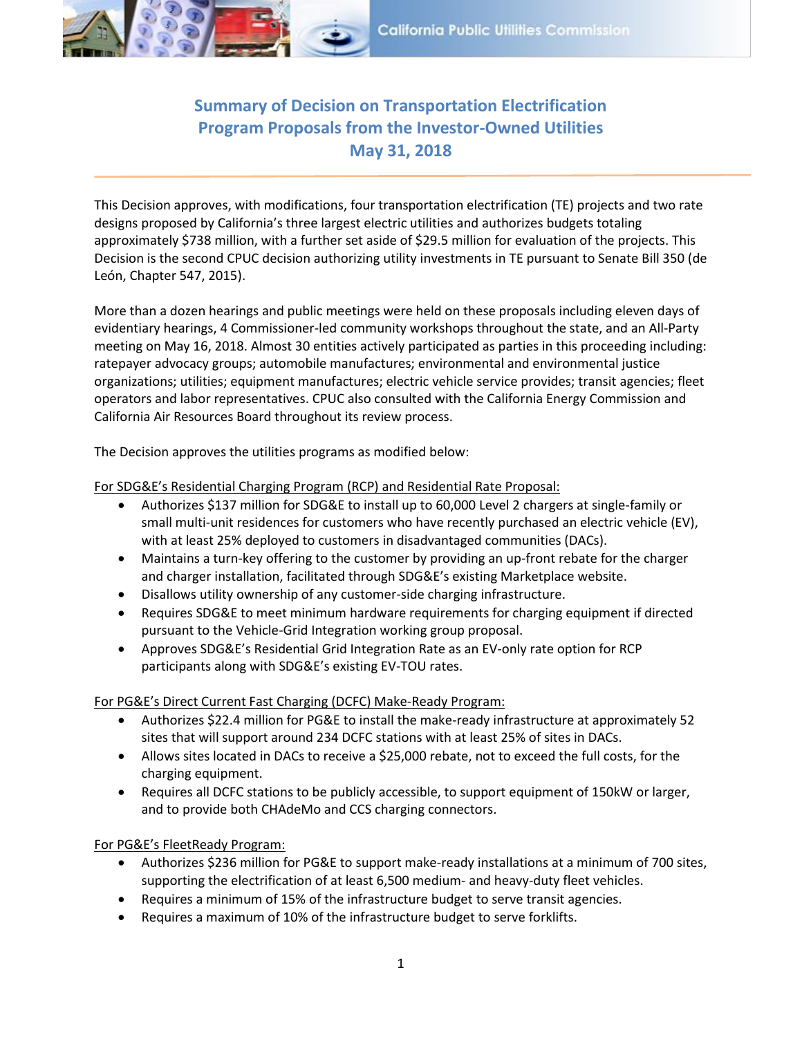

## **Summary of Decision on Transportation Electrification Program Proposals from the Investor-Owned Utilities May 31, 2018**

This Decision approves, with modifications, four transportation electrification (TE) projects and two rate designs proposed by California's three largest electric utilities and authorizes budgets totaling approximately \$738 million, with a further set aside of \$29.5 million for evaluation of the projects. This Decision is the second CPUC decision authorizing utility investments in TE pursuant to Senate Bill 350 (de León, Chapter 547, 2015).

More than a dozen hearings and public meetings were held on these proposals including eleven days of evidentiary hearings, 4 Commissioner-led community workshops throughout the state, and an All-Party meeting on May 16, 2018. Almost 30 entities actively participated as parties in this proceeding including: ratepayer advocacy groups; automobile manufactures; environmental and environmental justice organizations; utilities; equipment manufactures; electric vehicle service provides; transit agencies; fleet operators and labor representatives. CPUC also consulted with the California Energy Commission and California Air Resources Board throughout its review process.

The Decision approves the utilities programs as modified below:

For SDG&E's Residential Charging Program (RCP) and Residential Rate Proposal:

- Authorizes \$137 million for SDG&E to install up to 60,000 Level 2 chargers at single-family or small multi-unit residences for customers who have recently purchased an electric vehicle (EV), with at least 25% deployed to customers in disadvantaged communities (DACs).
- Maintains a turn-key offering to the customer by providing an up-front rebate for the charger and charger installation, facilitated through SDG&E's existing Marketplace website.
- Disallows utility ownership of any customer-side charging infrastructure.
- Requires SDG&E to meet minimum hardware requirements for charging equipment if directed pursuant to the Vehicle-Grid Integration working group proposal.
- Approves SDG&E's Residential Grid Integration Rate as an EV-only rate option for RCP participants along with SDG&E's existing EV-TOU rates.

For PG&E's Direct Current Fast Charging (DCFC) Make-Ready Program:

- Authorizes \$22.4 million for PG&E to install the make-ready infrastructure at approximately 52 sites that will support around 234 DCFC stations with at least 25% of sites in DACs.
- Allows sites located in DACs to receive a \$25,000 rebate, not to exceed the full costs, for the charging equipment.
- Requires all DCFC stations to be publicly accessible, to support equipment of 150kW or larger, and to provide both CHAdeMo and CCS charging connectors.

For PG&E's FleetReady Program:

- Authorizes \$236 million for PG&E to support make-ready installations at a minimum of 700 sites, supporting the electrification of at least 6,500 medium- and heavy-duty fleet vehicles.
- Requires a minimum of 15% of the infrastructure budget to serve transit agencies.
- Requires a maximum of 10% of the infrastructure budget to serve forklifts.